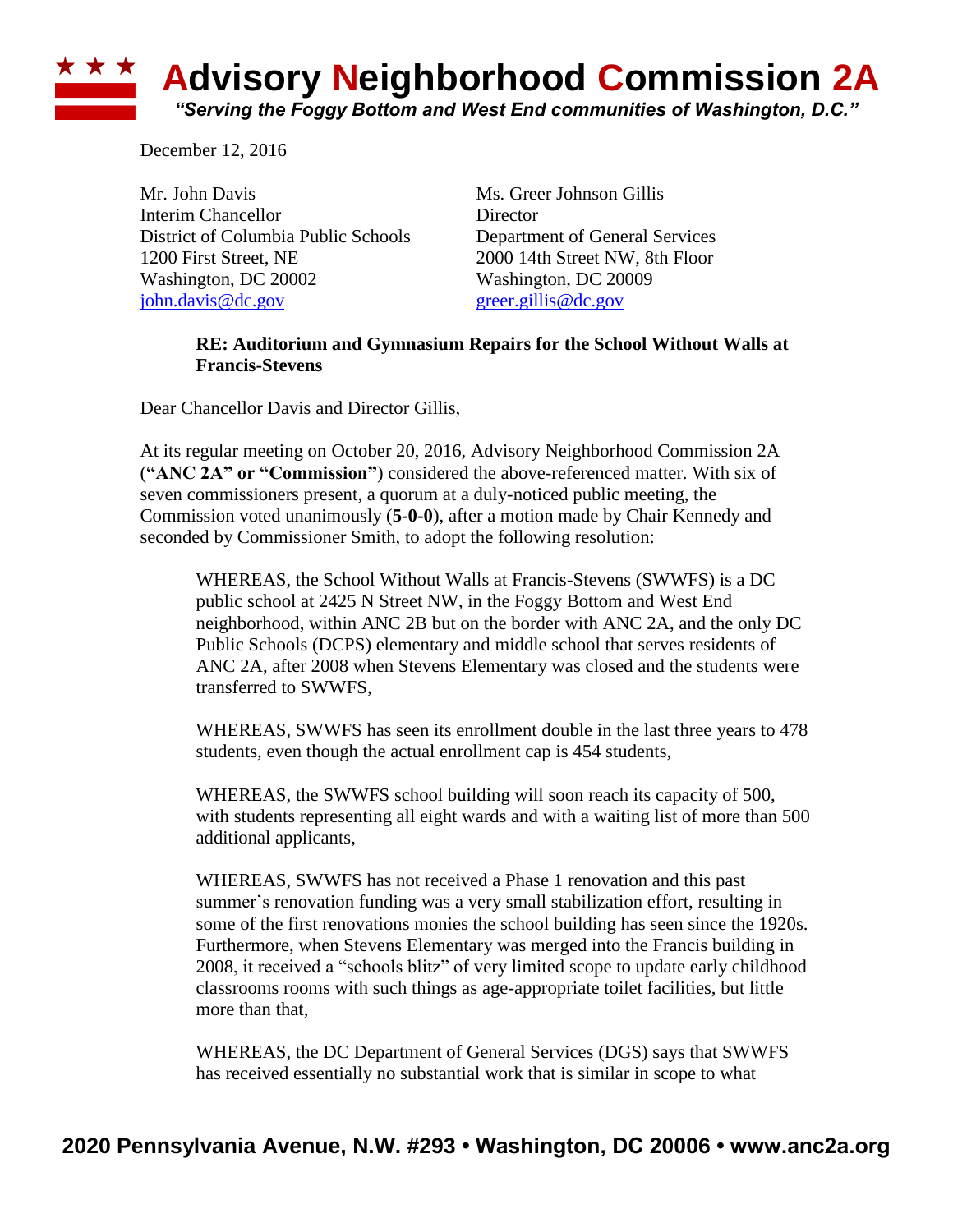## **\* \* \* Advisory Neighborhood Commission 2A** *"Serving the Foggy Bottom and West End communities of Washington, D.C."*

December 12, 2016

Mr. John Davis Ms. Greer Johnson Gillis Interim Chancellor Director District of Columbia Public Schools Department of General Services 1200 First Street, NE 2000 14th Street NW, 8th Floor Washington, DC 20002 Washington, DC 20009 [john.davis@dc.gov](mailto:john.davis@dc.gov) [greer.gillis@dc.gov](mailto:greer.gillis@dc.gov)

## **RE: Auditorium and Gymnasium Repairs for the School Without Walls at Francis-Stevens**

Dear Chancellor Davis and Director Gillis,

At its regular meeting on October 20, 2016, Advisory Neighborhood Commission 2A (**"ANC 2A" or "Commission"**) considered the above-referenced matter. With six of seven commissioners present, a quorum at a duly-noticed public meeting, the Commission voted unanimously (**5-0-0**), after a motion made by Chair Kennedy and seconded by Commissioner Smith, to adopt the following resolution:

WHEREAS, the School Without Walls at Francis-Stevens (SWWFS) is a DC public school at 2425 N Street NW, in the Foggy Bottom and West End neighborhood, within ANC 2B but on the border with ANC 2A, and the only DC Public Schools (DCPS) elementary and middle school that serves residents of ANC 2A, after 2008 when Stevens Elementary was closed and the students were transferred to SWWFS,

WHEREAS, SWWFS has seen its enrollment double in the last three years to 478 students, even though the actual enrollment cap is 454 students,

WHEREAS, the SWWFS school building will soon reach its capacity of 500, with students representing all eight wards and with a waiting list of more than 500 additional applicants,

WHEREAS, SWWFS has not received a Phase 1 renovation and this past summer's renovation funding was a very small stabilization effort, resulting in some of the first renovations monies the school building has seen since the 1920s. Furthermore, when Stevens Elementary was merged into the Francis building in 2008, it received a "schools blitz" of very limited scope to update early childhood classrooms rooms with such things as age-appropriate toilet facilities, but little more than that,

WHEREAS, the DC Department of General Services (DGS) says that SWWFS has received essentially no substantial work that is similar in scope to what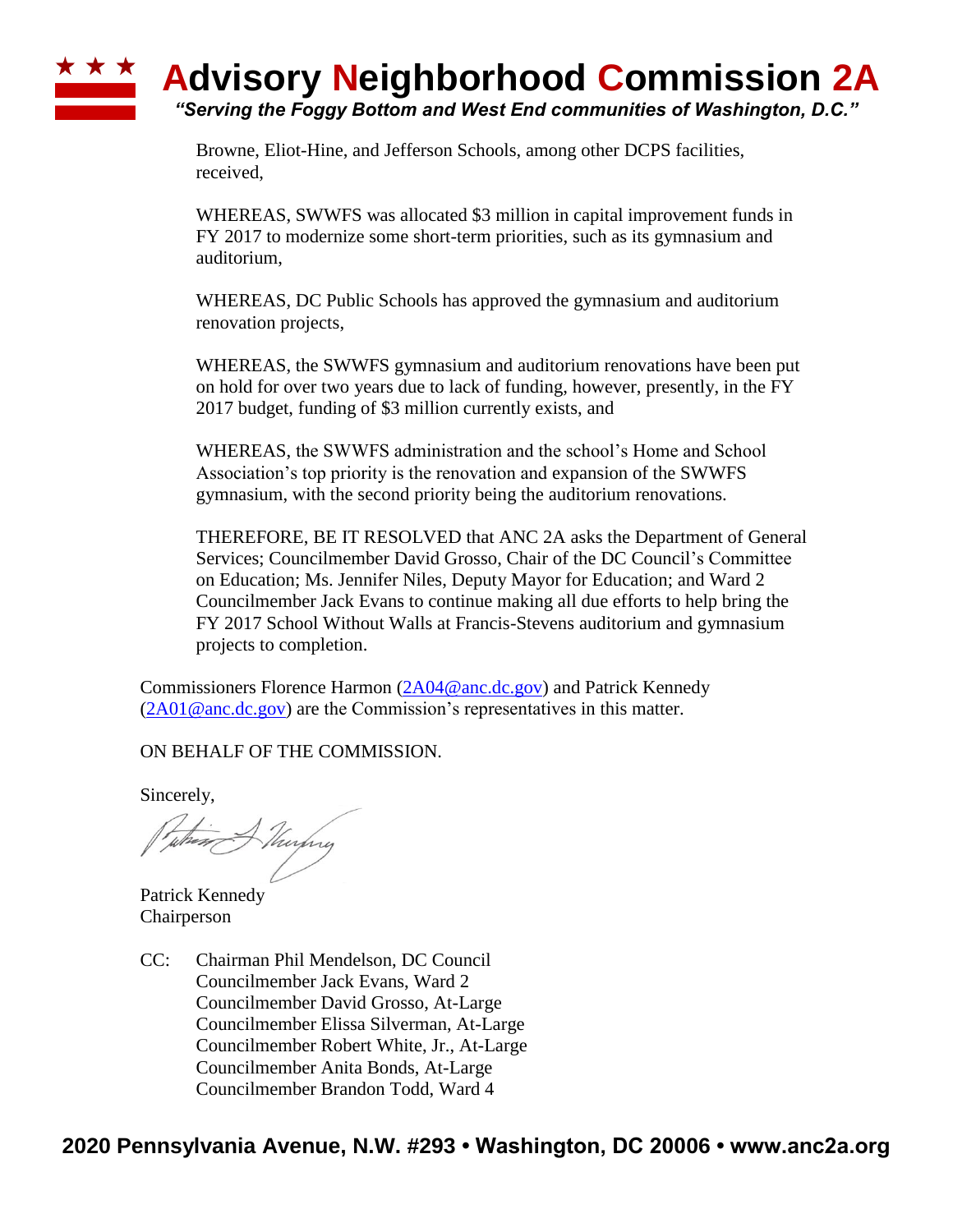## **Advisory Neighborhood Commission 2A** *"Serving the Foggy Bottom and West End communities of Washington, D.C."*

Browne, Eliot-Hine, and Jefferson Schools, among other DCPS facilities, received,

WHEREAS, SWWFS was allocated \$3 million in capital improvement funds in FY 2017 to modernize some short-term priorities, such as its gymnasium and auditorium,

WHEREAS, DC Public Schools has approved the gymnasium and auditorium renovation projects,

WHEREAS, the SWWFS gymnasium and auditorium renovations have been put on hold for over two years due to lack of funding, however, presently, in the FY 2017 budget, funding of \$3 million currently exists, and

WHEREAS, the SWWFS administration and the school's Home and School Association's top priority is the renovation and expansion of the SWWFS gymnasium, with the second priority being the auditorium renovations.

THEREFORE, BE IT RESOLVED that ANC 2A asks the Department of General Services; Councilmember David Grosso, Chair of the DC Council's Committee on Education; Ms. Jennifer Niles, Deputy Mayor for Education; and Ward 2 Councilmember Jack Evans to continue making all due efforts to help bring the FY 2017 School Without Walls at Francis-Stevens auditorium and gymnasium projects to completion.

Commissioners Florence Harmon [\(2A04@anc.dc.gov\)](mailto:2A04@anc.dc.gov) and Patrick Kennedy  $(2A01@anc.dc.gov)$  are the Commission's representatives in this matter.

ON BEHALF OF THE COMMISSION.

Sincerely,

when Murphy

Patrick Kennedy Chairperson

CC: Chairman Phil Mendelson, DC Council Councilmember Jack Evans, Ward 2 Councilmember David Grosso, At-Large Councilmember Elissa Silverman, At-Large Councilmember Robert White, Jr., At-Large Councilmember Anita Bonds, At-Large Councilmember Brandon Todd, Ward 4